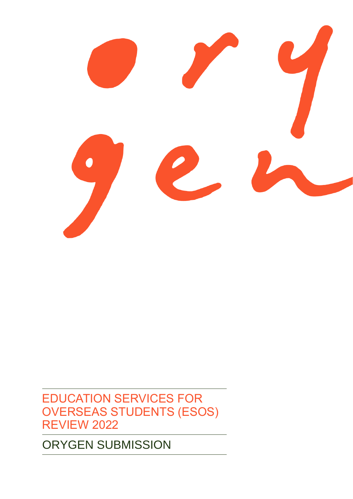# ORYGEN SUBMISSION

EDUCATION SERVICES FOR OVERSEAS STUDENTS (ESOS) REVIEW 2022

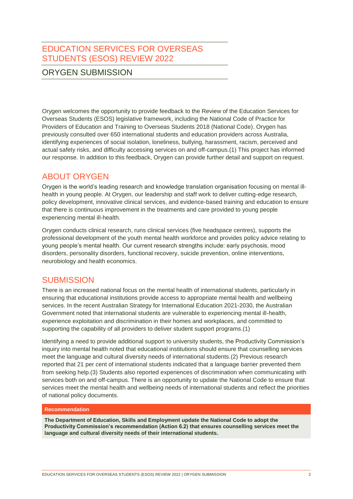EDUCATION SERVICES FOR OVERSEAS STUDENTS (ESOS) REVIEW 2022

## ORYGEN SUBMISSION

Orygen welcomes the opportunity to provide feedback to the Review of the Education Services for Overseas Students (ESOS) legislative framework, including the National Code of Practice for Providers of Education and Training to Overseas Students 2018 (National Code). Orygen has previously consulted over 650 international students and education providers across Australia, identifying experiences of social isolation, loneliness, bullying, harassment, racism, perceived and actual safety risks, and difficulty accessing services on and off-campus.(1) This project has informed our response. In addition to this feedback, Orygen can provide further detail and support on request.

# ABOUT ORYGEN

Orygen is the world's leading research and knowledge translation organisation focusing on mental illhealth in young people. At Orygen, our leadership and staff work to deliver cutting-edge research, policy development, innovative clinical services, and evidence-based training and education to ensure that there is continuous improvement in the treatments and care provided to young people experiencing mental ill-health.

Orygen conducts clinical research, runs clinical services (five headspace centres), supports the professional development of the youth mental health workforce and provides policy advice relating to young people's mental health. Our current research strengths include: early psychosis, mood disorders, personality disorders, functional recovery, suicide prevention, online interventions, neurobiology and health economics.

# **SUBMISSION**

There is an increased national focus on the mental health of international students, particularly in ensuring that educational institutions provide access to appropriate mental health and wellbeing services. In the recent Australian Strategy for International Education 2021-2030, the Australian Government noted that international students are vulnerable to experiencing mental ill-health, experience exploitation and discrimination in their homes and workplaces, and committed to supporting the capability of all providers to deliver student support programs.(1)

Identifying a need to provide additional support to university students, the Productivity Commission's inquiry into mental health noted that educational institutions should ensure that counselling services meet the language and cultural diversity needs of international students.(2) Previous research reported that 21 per cent of international students indicated that a language barrier prevented them from seeking help.(3) Students also reported experiences of discrimination when communicating with services both on and off-campus. There is an opportunity to update the National Code to ensure that services meet the mental health and wellbeing needs of international students and reflect the priorities of national policy documents.

## **Recommendation**

**The Department of Education, Skills and Employment update the National Code to adopt the Productivity Commission's recommendation (Action 6.2) that ensures counselling services meet the language and cultural diversity needs of their international students.**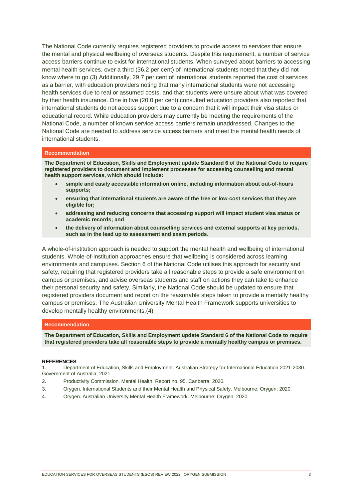The National Code currently requires registered providers to provide access to services that ensure the mental and physical wellbeing of overseas students. Despite this requirement, a number of service access barriers continue to exist for international students. When surveyed about barriers to accessing mental health services, over a third (36.2 per cent) of international students noted that they did not know where to go.(3) Additionally, 29.7 per cent of international students reported the cost of services as a barrier, with education providers noting that many international students were not accessing health services due to real or assumed costs, and that students were unsure about what was covered by their health insurance. One in five (20.0 per cent) consulted education providers also reported that international students do not access support due to a concern that it will impact their visa status or educational record. While education providers may currently be meeting the requirements of the National Code, a number of known service access barriers remain unaddressed. Changes to the National Code are needed to address service access barriers and meet the mental health needs of international students.

### **Recommendation**

**The Department of Education, Skills and Employment update Standard 6 of the National Code to require registered providers to document and implement processes for accessing counselling and mental health support services, which should include:**

- **simple and easily accessible information online, including information about out-of-hours supports;**
- **ensuring that international students are aware of the free or low-cost services that they are eligible for;**
- **addressing and reducing concerns that accessing support will impact student visa status or academic records; and**
- **the delivery of information about counselling services and external supports at key periods, such as in the lead up to assessment and exam periods.**

A whole-of-institution approach is needed to support the mental health and wellbeing of international students. Whole-of-institution approaches ensure that wellbeing is considered across learning environments and campuses. Section 6 of the National Code utilises this approach for security and safety, requiring that registered providers take all reasonable steps to provide a safe environment on campus or premises, and advise overseas students and staff on actions they can take to enhance their personal security and safety. Similarly, the National Code should be updated to ensure that registered providers document and report on the reasonable steps taken to provide a mentally healthy campus or premises. The Australian University Mental Health Framework supports universities to develop mentally healthy environments.(4)

#### **Recommendation**

**The Department of Education, Skills and Employment update Standard 6 of the National Code to require that registered providers take all reasonable steps to provide a mentally healthy campus or premises.**

#### **REFERENCES**

1. Department of Education, Skills and Employment. Australian Strategy for International Education 2021-2030. Government of Australia; 2021.

- 2. Productivity Commission. Mental Health, Report no. 95. Canberra; 2020.
- 3. Orygen. International Students and their Mental Health and Physical Safety. Melbourne: Orygen; 2020.
- 4. Orygen. Australian University Mental Health Framework. Melbourne: Orygen; 2020.